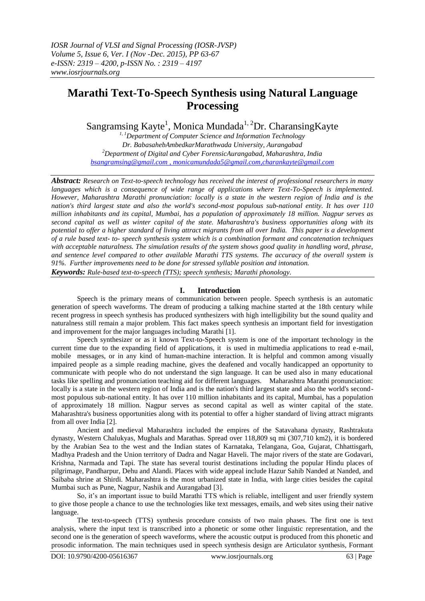# **Marathi Text-To-Speech Synthesis using Natural Language Processing**

Sangramsing Kayte<sup>1</sup>, Monica Mundada<sup>1, 2</sup>Dr. CharansingKayte

*1, 1Department of Computer Science and Information Technology Dr. BabasahebAmbedkarMarathwada University, Aurangabad <sup>2</sup>Department of Digital and Cyber ForensicAurangabad, Maharashtra, India [bsangramsing@gmail.com](mailto:bsangramsing@gmail.com) [, monicamundada5@gmail.com,](mailto:monicamundada5@gmail.com)[charankayte@gmail.com](mailto:charankayte@gmail.com)*

*Abstract: Research on Text-to-speech technology has received the interest of professional researchers in many languages which is a consequence of wide range of applications where Text-To-Speech is implemented. However, Maharashtra Marathi pronunciation: locally is a state in the western region of India and is the nation's third largest state and also the world's second-most populous sub-national entity. It has over 110 million inhabitants and its capital, Mumbai, has a population of approximately 18 million. Nagpur serves as second capital as well as winter capital of the state. Maharashtra's business opportunities along with its potential to offer a higher standard of living attract migrants from all over India. This paper is a development of a rule based text- to- speech synthesis system which is a combination formant and concatenation techniques*  with acceptable naturalness. The simulation results of the system shows good quality in handling word, phrase, *and sentence level compared to other available Marathi TTS systems. The accuracy of the overall system is 91%. Further improvements need to be done for stressed syllable position and intonation. Keywords: Rule-based text-to-speech (TTS); speech synthesis; Marathi phonology.*

# **I. Introduction**

Speech is the primary means of communication between people. Speech synthesis is an automatic generation of speech waveforms. The dream of producing a talking machine started at the 18th century while recent progress in speech synthesis has produced synthesizers with high intelligibility but the sound quality and naturalness still remain a major problem. This fact makes speech synthesis an important field for investigation and improvement for the major languages including Marathi [1].

Speech synthesizer or as it known Text-to-Speech system is one of the important technology in the current time due to the expanding field of applications, it is used in multimedia applications to read e-mail, mobile messages, or in any kind of human-machine interaction. It is helpful and common among visually impaired people as a simple reading machine, gives the deafened and vocally handicapped an opportunity to communicate with people who do not understand the sign language. It can be used also in many educational tasks like spelling and pronunciation teaching aid for different languages. Maharashtra Marathi pronunciation: locally is a state in the western region of India and is the nation's third largest state and also the world's secondmost populous sub-national entity. It has over 110 million inhabitants and its capital, Mumbai, has a population of approximately 18 million. Nagpur serves as second capital as well as winter capital of the state. Maharashtra's business opportunities along with its potential to offer a higher standard of living attract migrants from all over India [2].

Ancient and medieval Maharashtra included the empires of the Satavahana dynasty, Rashtrakuta dynasty, Western Chalukyas, Mughals and Marathas. Spread over 118,809 sq mi (307,710 km2), it is bordered by the Arabian Sea to the west and the Indian states of Karnataka, Telangana, Goa, Gujarat, Chhattisgarh, Madhya Pradesh and the Union territory of Dadra and Nagar Haveli. The major rivers of the state are Godavari, Krishna, Narmada and Tapi. The state has several tourist destinations including the popular Hindu places of pilgrimage, Pandharpur, Dehu and Alandi. Places with wide appeal include Hazur Sahib Nanded at Nanded, and Saibaba shrine at Shirdi. Maharashtra is the most urbanized state in India, with large cities besides the capital Mumbai such as Pune, Nagpur, Nashik and Aurangabad [3].

So, it's an important issue to build Marathi TTS which is reliable, intelligent and user friendly system to give those people a chance to use the technologies like text messages, emails, and web sites using their native language.

The text-to-speech (TTS) synthesis procedure consists of two main phases. The first one is text analysis, where the input text is transcribed into a phonetic or some other linguistic representation, and the second one is the generation of speech waveforms, where the acoustic output is produced from this phonetic and prosodic information. The main techniques used in speech synthesis design are Articulator synthesis, Formant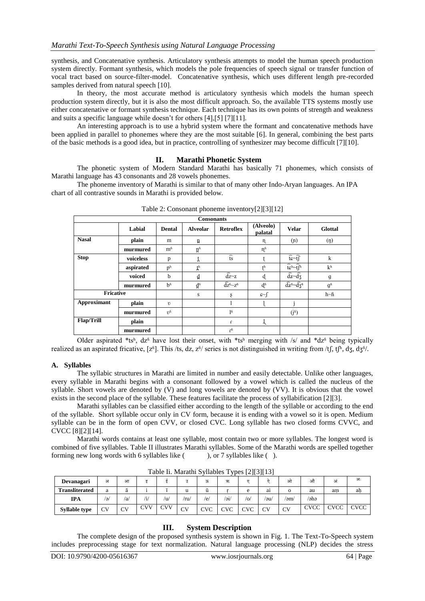synthesis, and Concatenative synthesis. Articulatory synthesis attempts to model the human speech production system directly. Formant synthesis, which models the pole frequencies of speech signal or transfer function of vocal tract based on source-filter-model. Concatenative synthesis, which uses different length pre-recorded samples derived from natural speech [10].

In theory, the most accurate method is articulatory synthesis which models the human speech production system directly, but it is also the most difficult approach. So, the available TTS systems mostly use either concatenative or formant synthesis technique. Each technique has its own points of strength and weakness and suits a specific language while doesn't for others [4],[5] [7][11].

An interesting approach is to use a hybrid system where the formant and concatenative methods have been applied in parallel to phonemes where they are the most suitable [6]. In general, combining the best parts of the basic methods is a good idea, but in practice, controlling of synthesizer may become difficult [7][10].

### **II. Marathi Phonetic System**

The phonetic system of Modern Standard Marathi has basically 71 phonemes, which consists of Marathi language has 43 consonants and 28 vowels phonemes.

The [phoneme](https://en.wikipedia.org/wiki/Phoneme) inventory of Marathi is similar to that of many other [Indo-Aryan languages.](https://en.wikipedia.org/wiki/Indo-Aryan_languages) A[n IPA](https://en.wikipedia.org/wiki/Help:IPA) chart of all contrastive sounds in Marathi is provided below.

| <b>Consonants</b>  |           |                |                          |                                               |                      |                                                                                                    |                |  |
|--------------------|-----------|----------------|--------------------------|-----------------------------------------------|----------------------|----------------------------------------------------------------------------------------------------|----------------|--|
|                    | Labial    | <b>Dental</b>  | <b>Alveolar</b>          | <b>Retroflex</b>                              | (Alveolo)<br>palatal | <b>Velar</b>                                                                                       | <b>Glottal</b> |  |
| <b>Nasal</b>       | plain     | m              | n                        |                                               | η                    | (n)                                                                                                | $(\eta)$       |  |
|                    | murmured  | m <sup>6</sup> | $\mathbf{n}^{\text{fi}}$ |                                               | $\eta$ <sup>h</sup>  |                                                                                                    |                |  |
| <b>Stop</b>        | voiceless | p              | ţ                        | $\overline{t}$                                |                      | $\widehat{\mathfrak{t}\varepsilon}$ ~ $\widehat{\mathfrak{t}\int}$                                 | $\bf k$        |  |
|                    | aspirated | p <sup>h</sup> | $\mathfrak{t}^{\rm h}$   |                                               | $+h$                 | $\widehat{\mathfrak{t}\mathfrak{S}^{\mathrm{h}}}\widetilde{\mathfrak{t}\mathfrak{f}^{\mathrm{h}}}$ | k <sub>h</sub> |  |
|                    | voiced    | $\mathbf b$    | d                        | $\widehat{dz}$ ~z                             | d                    | $\sqrt{dz}$ $\sim$ $\sqrt{z}$                                                                      | g              |  |
|                    | murmured  | h <sup>f</sup> | d <sub>i</sub>           | $\widehat{dz}^{\hat{n}}$ $\sim$ $z^{\hat{n}}$ | d <sup>h</sup>       | $\overline{dz}^{\text{fi}}$ ~ $\overline{d}$ 3 <sup>fi</sup>                                       | q <sup>h</sup> |  |
| <b>Fricative</b>   |           |                | S                        | ş                                             | c <sub>1</sub>       |                                                                                                    | $h$ ~ $fi$     |  |
| <b>Approximant</b> | plain     | U              |                          |                                               |                      |                                                                                                    |                |  |
|                    | murmured  | v <sup>6</sup> |                          | <sup>1</sup>                                  |                      | (j <sup>h</sup> )                                                                                  |                |  |
| <b>Flap/Trill</b>  | plain     |                |                          | $\Gamma$                                      | ሓ                    |                                                                                                    |                |  |
|                    | murmured  |                |                          | $\int$                                        |                      |                                                                                                    |                |  |

Table 2: Consonant phoneme inventory[2][3][12]

Older aspirated \*tsh, dzß have [lost their onset,](https://en.wikipedia.org/wiki/Lenition) with \*tsh merging with /s/ and \*dzß being typically realized as an aspirated fricative,  $[z^{\beta}]$ . This /ts, dz,  $z^{\beta}$ / series is not distinguished in writing from /t f, t<sup>h</sup>, dz, dz $^{\beta}$ /.

### **A. Syllables**

The syllabic structures in Marathi are limited in number and easily detectable. Unlike other languages, every syllable in Marathi begins with a consonant followed by a vowel which is called the nucleus of the syllable. Short vowels are denoted by (V) and long vowels are denoted by (VV). It is obvious that the vowel exists in the second place of the syllable. These features facilitate the process of syllabification [2][3].

Marathi syllables can be classified either according to the length of the syllable or according to the end of the syllable. Short syllable occur only in CV form, because it is ending with a vowel so it is open. Medium syllable can be in the form of open CVV, or closed CVC. Long syllable has two closed forms CVVC, and CVCC [8][2][14].

Marathi words contains at least one syllable, most contain two or more syllables. The longest word is combined of five syllables. Table II illustrates Marathi syllables. Some of the Marathi words are spelled together forming new long words with 6 syllables like ( ), or 7 syllables like ( ).

| $14000$ m. Maratin Dynastes $1$ ypes $210$ $11$ |     |           |               |            |     |     |            |             |           |           |             |             |             |
|-------------------------------------------------|-----|-----------|---------------|------------|-----|-----|------------|-------------|-----------|-----------|-------------|-------------|-------------|
| Devanagari                                      | अ   | आ         |               |            |     | ऊ   | 邪          | $\pi$       |           | ओ         | औ           | अ           | आः          |
| <b>Transliterated</b>                           | a   |           |               |            | u   |     |            | e           | a1        | O         | au          | am          | aḥ          |
| <b>IPA</b>                                      | 'ə/ | /a/       | $\sim$<br>/1/ | /u         | /ru | le/ | . .<br>וב/ | $ 0\rangle$ | /əu       | ′əm∕      | /əhə        |             |             |
| <b>Syllable type</b>                            | CV  | <b>CV</b> | <b>CVV</b>    | <b>CVV</b> | CV  | CVC | <b>CVC</b> | <b>CVC</b>  | <b>CV</b> | <b>CV</b> | <b>CVCC</b> | <b>CVCC</b> | <b>CVCC</b> |

Table Ii. Marathi Syllables Types [2][3][13]

## **III. System Description**

The complete design of the proposed synthesis system is shown in Fig. 1. The Text-To-Speech system includes preprocessing stage for text normalization. Natural language processing (NLP) decides the stress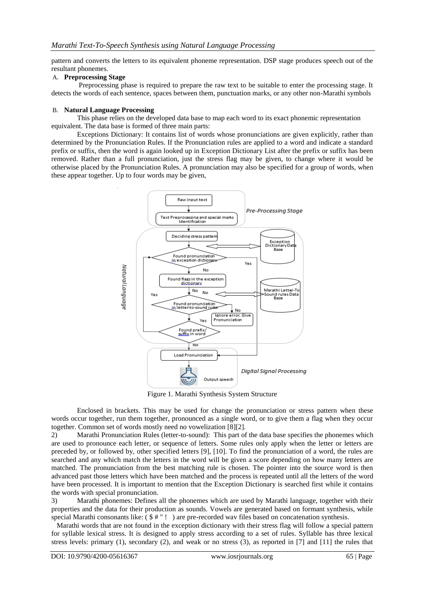pattern and converts the letters to its equivalent phoneme representation. DSP stage produces speech out of the resultant phonemes.

# A. **Preprocessing Stage**

Preprocessing phase is required to prepare the raw text to be suitable to enter the processing stage. It detects the words of each sentence, spaces between them, punctuation marks, or any other non-Marathi symbols

## B. **Natural Language Processing**

This phase relies on the developed data base to map each word to its exact phonemic representation equivalent. The data base is formed of three main parts:

Exceptions Dictionary: It contains list of words whose pronunciations are given explicitly, rather than determined by the Pronunciation Rules. If the Pronunciation rules are applied to a word and indicate a standard prefix or suffix, then the word is again looked up in Exception Dictionary List after the prefix or suffix has been removed. Rather than a full pronunciation, just the stress flag may be given, to change where it would be otherwise placed by the Pronunciation Rules. A pronunciation may also be specified for a group of words, when these appear together. Up to four words may be given,



Figure 1. Marathi Synthesis System Structure

Enclosed in brackets. This may be used for change the pronunciation or stress pattern when these words occur together, run them together, pronounced as a single word, or to give them a flag when they occur together. Common set of words mostly need no vowelization [8][2].

2) Marathi Pronunciation Rules (letter-to-sound): This part of the data base specifies the phonemes which are used to pronounce each letter, or sequence of letters. Some rules only apply when the letter or letters are preceded by, or followed by, other specified letters [9], [10]. To find the pronunciation of a word, the rules are searched and any which match the letters in the word will be given a score depending on how many letters are matched. The pronunciation from the best matching rule is chosen. The pointer into the source word is then advanced past those letters which have been matched and the process is repeated until all the letters of the word have been processed. It is important to mention that the Exception Dictionary is searched first while it contains the words with special pronunciation.

3) Marathi phonemes: Defines all the phonemes which are used by Marathi language, together with their properties and the data for their production as sounds. Vowels are generated based on formant synthesis, while special Marathi consonants like:  $(\$ # " ! )$  are pre-recorded wav files based on concatenation synthesis.

 Marathi words that are not found in the exception dictionary with their stress flag will follow a special pattern for syllable lexical stress. It is designed to apply stress according to a set of rules. Syllable has three lexical stress levels: primary (1), secondary (2), and weak or no stress (3), as reported in [7] and [11] the rules that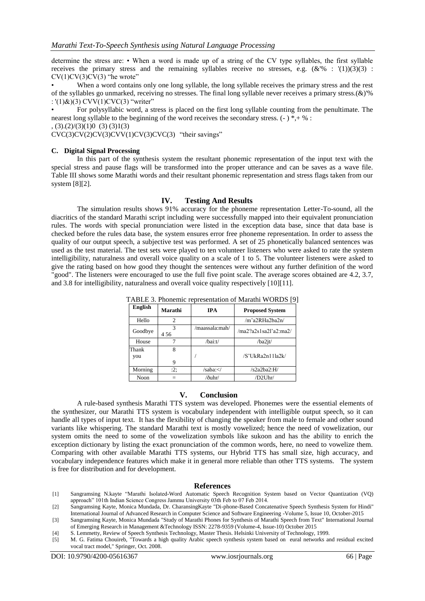determine the stress are: • When a word is made up of a string of the CV type syllables, the first syllable receives the primary stress and the remaining syllables receive no stresses, e.g.  $(\&\% : '1))$ (3)(3) :  $CV(1)CV(3)CV(3)$  "he wrote"

When a word contains only one long syllable, the long syllable receives the primary stress and the rest of the syllables go unmarked, receiving no stresses. The final long syllable never receives a primary stress. $(\&)$ % :  $(1)$ & $(3)$  CVV $(1)$ CVC $(3)$  "writer"

• For polysyllabic word, a stress is placed on the first long syllable counting from the penultimate. The nearest long syllable to the beginning of the word receives the secondary stress.  $(-)$  \*,+ % :

 $(3)(2)/(3)(1)0(3)(3)1(3)$ 

 $CVC(3)CV(2)CV(3)CV(1)CV(3)CVC(3)$  "their savings"

#### **C. Digital Signal Processing**

In this part of the synthesis system the resultant phonemic representation of the input text with the special stress and pause flags will be transformed into the proper utterance and can be saves as a wave file. Table III shows some Marathi words and their resultant phonemic representation and stress flags taken from our system [8][2].

#### **IV. Testing And Results**

The simulation results shows 91% accuracy for the phoneme representation Letter-To-sound, all the diacritics of the standard Marathi script including were successfully mapped into their equivalent pronunciation rules. The words with special pronunciation were listed in the exception data base, since that data base is checked before the rules data base, the system ensures error free phoneme representation. In order to assess the quality of our output speech, a subjective test was performed. A set of 25 phonetically balanced sentences was used as the test material. The test sets were played to ten volunteer listeners who were asked to rate the system intelligibility, naturalness and overall voice quality on a scale of 1 to 5. The volunteer listeners were asked to give the rating based on how good they thought the sentences were without any further definition of the word "good". The listeners were encouraged to use the full five point scale. The average scores obtained are 4.2, 3.7, and 3.8 for intelligibility, naturalness and overall voice quality respectively [10][11].

| <b>English</b> | Marathi | <b>IPA</b>                       | <b>Proposed System</b> |  |  |  |  |
|----------------|---------|----------------------------------|------------------------|--|--|--|--|
| Hello          |         |                                  | /m'a2RHa2ba2n/         |  |  |  |  |
| Goodbye        | 4.56    | /maassala:mah/                   | /ma2?a2s1sa2l'a2:ma2/  |  |  |  |  |
| House          |         | /bai:t/                          | /ba2jt/                |  |  |  |  |
| Thank<br>you   | 8<br>9  |                                  | /S'UkRa2n11la2k/       |  |  |  |  |
| Morning        | :2:     | /saba: </td <td>/s2a2ba2:H/</td> | /s2a2ba2:H/            |  |  |  |  |
| Noon           |         | /ðuhr/                           | /D2Uhr/                |  |  |  |  |

TABLE 3. Phonemic representation of Marathi WORDS [9]

## **V. Conclusion**

A rule-based synthesis Marathi TTS system was developed. Phonemes were the essential elements of the synthesizer, our Marathi TTS system is vocabulary independent with intelligible output speech, so it can handle all types of input text. It has the flexibility of changing the speaker from male to female and other sound variants like whispering. The standard Marathi text is mostly vowelized; hence the need of vowelization, our system omits the need to some of the vowelization symbols like sukoon and has the ability to enrich the exception dictionary by listing the exact pronunciation of the common words, here, no need to vowelize them. Comparing with other available Marathi TTS systems, our Hybrid TTS has small size, high accuracy, and vocabulary independence features which make it in general more reliable than other TTS systems. The system is free for distribution and for development.

#### **References**

- [1] Sangramsing N.kayte "Marathi Isolated-Word Automatic Speech Recognition System based on Vector Quantization (VQ) approach" 101th Indian Science Congress Jammu University 03th Feb to 07 Feb 2014.
- [2] Sangramsing Kayte, Monica Mundada, Dr. CharansingKayte "Di-phone-Based Concatenative Speech Synthesis System for Hindi" International Journal of Advanced Research in Computer Science and Software Engineering -Volume 5, Issue 10, October-2015
- [3] Sangramsing Kayte, Monica Mundada "Study of Marathi Phones for Synthesis of Marathi Speech from Text" International Journal of Emerging Research in Management &Technology ISSN: 2278-9359 (Volume-4, Issue-10) October 2015
- [4] S. Lemmetty, Review of Speech Synthesis Technology, Master Thesis. Helsinki University of Technology, 1999.
- [5] M. G. Fatima Chouireb, "Towards a high quality Arabic speech synthesis system based on eural networks and residual excited vocal tract model," Springer, Oct. 2008.